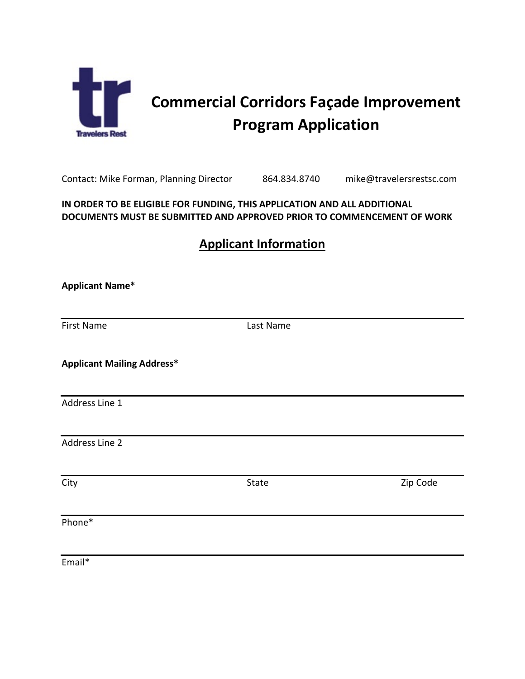

# **Commercial Corridors Façade Improvement Program Application**

Contact: Mike Forman, Planning Director 864.834.8740 mike@travelersrestsc.com

#### **IN ORDER TO BE ELIGIBLE FOR FUNDING, THIS APPLICATION AND ALL ADDITIONAL DOCUMENTS MUST BE SUBMITTED AND APPROVED PRIOR TO COMMENCEMENT OF WORK**

## **Applicant Information**

| <b>Applicant Name*</b>            |           |          |
|-----------------------------------|-----------|----------|
|                                   |           |          |
| <b>First Name</b>                 | Last Name |          |
| <b>Applicant Mailing Address*</b> |           |          |
| Address Line 1                    |           |          |
| Address Line 2                    |           |          |
| City                              | State     | Zip Code |
| Phone*                            |           |          |
| Email*                            |           |          |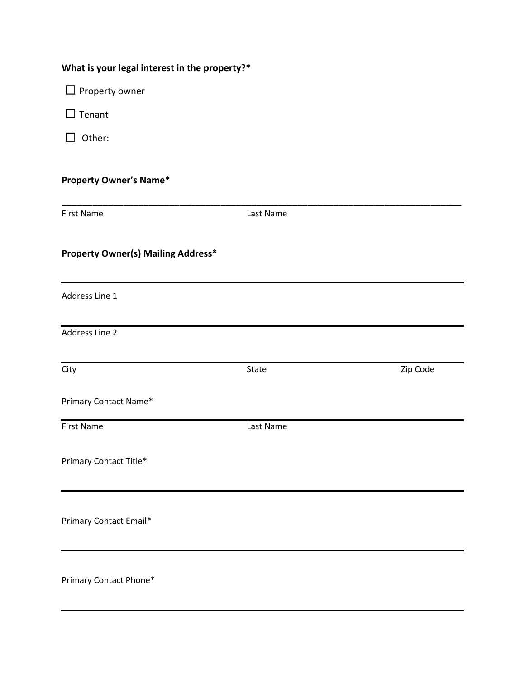| What is your legal interest in the property?* |  |  |  |  |  |
|-----------------------------------------------|--|--|--|--|--|
|-----------------------------------------------|--|--|--|--|--|

□ Property owner

□ Tenant

☐ Other:

#### **Property Owner's Name\***

| <b>First Name</b>                         | Last Name |          |
|-------------------------------------------|-----------|----------|
| <b>Property Owner(s) Mailing Address*</b> |           |          |
| Address Line 1                            |           |          |
| Address Line 2                            |           |          |
| City                                      | State     | Zip Code |
| Primary Contact Name*                     |           |          |
| <b>First Name</b>                         | Last Name |          |
| Primary Contact Title*                    |           |          |
| Primary Contact Email*                    |           |          |
| Primary Contact Phone*                    |           |          |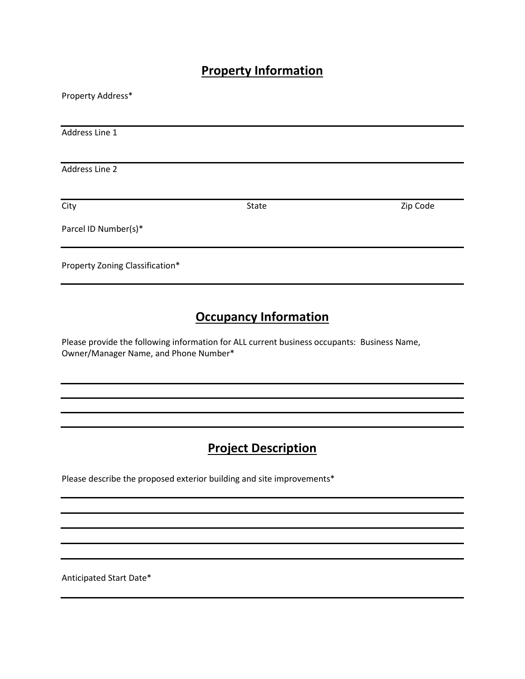#### **Property Information**

| Property Address*               |       |          |
|---------------------------------|-------|----------|
|                                 |       |          |
| Address Line 1                  |       |          |
|                                 |       |          |
| Address Line 2                  |       |          |
|                                 |       |          |
| City                            | State | Zip Code |
| Parcel ID Number(s)*            |       |          |
| Property Zoning Classification* |       |          |

### **Occupancy Information**

Please provide the following information for ALL current business occupants: Business Name, Owner/Manager Name, and Phone Number\*

### **Project Description**

Please describe the proposed exterior building and site improvements\*

Anticipated Start Date\*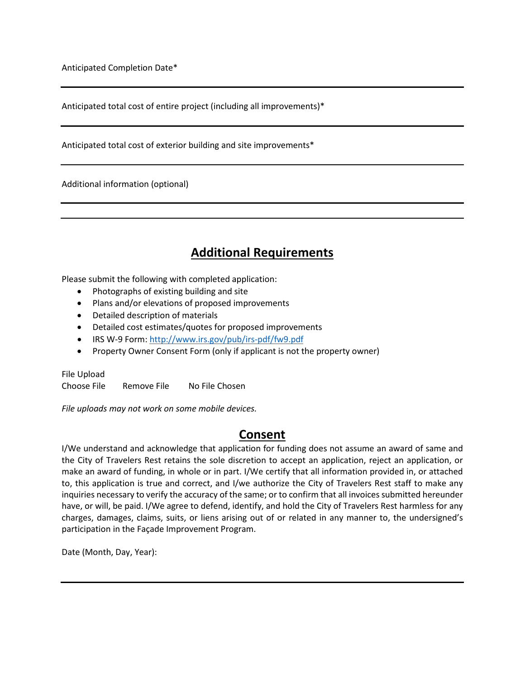Anticipated Completion Date\*

Anticipated total cost of entire project (including all improvements)\*

Anticipated total cost of exterior building and site improvements\*

Additional information (optional)

#### **Additional Requirements**

Please submit the following with completed application:

- Photographs of existing building and site
- Plans and/or elevations of proposed improvements
- Detailed description of materials
- Detailed cost estimates/quotes for proposed improvements
- IRS W-9 Form[: http://www.irs.gov/pub/irs-pdf/fw9.pdf](http://www.irs.gov/pub/irs-pdf/fw9.pdf)
- Property Owner Consent Form (only if applicant is not the property owner)

File Upload Choose File Remove File No File Chosen

*File uploads may not work on some mobile devices.* 

#### **Consent**

I/We understand and acknowledge that application for funding does not assume an award of same and the City of Travelers Rest retains the sole discretion to accept an application, reject an application, or make an award of funding, in whole or in part. I/We certify that all information provided in, or attached to, this application is true and correct, and I/we authorize the City of Travelers Rest staff to make any inquiries necessary to verify the accuracy of the same; or to confirm that all invoices submitted hereunder have, or will, be paid. I/We agree to defend, identify, and hold the City of Travelers Rest harmless for any charges, damages, claims, suits, or liens arising out of or related in any manner to, the undersigned's participation in the Façade Improvement Program.

Date (Month, Day, Year):